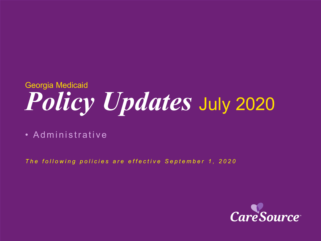# *Policy Updates* July 2020 Georgia Medicaid

• Administrative

*The following policies are effective September 1, 2020*

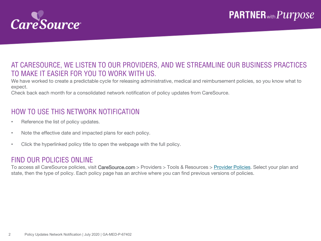

### AT CARESOURCE, WE LISTEN TO OUR PROVIDERS, AND WE STREAMLINE OUR BUSINESS PRACTICES TO MAKE IT EASIER FOR YOU TO WORK WITH US.

We have worked to create a predictable cycle for releasing administrative, medical and reimbursement policies, so you know what to expect.

Check back each month for a consolidated network notification of policy updates from CareSource.

### HOW TO USE THIS NETWORK NOTIFICATION

- Reference the list of policy updates.
- Note the effective date and impacted plans for each policy.
- Click the hyperlinked policy title to open the webpage with the full policy.

#### FIND OUR POLICIES ONLINE

To access all CareSource policies, visit CareSource.com > Providers > Tools & Resources > [Provider Policies.](https://www.caresource.com/providers/tools-resources/health-partner-policies/) Select your plan and state, then the type of policy. Each policy page has an archive where you can find previous versions of policies.